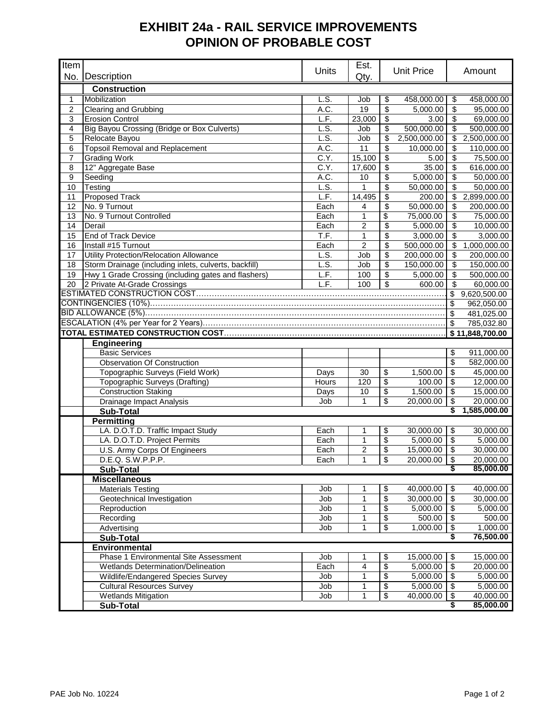## **EXHIBIT 24a - RAIL SERVICE IMPROVEMENTS OPINION OF PROBABLE COST**

| Item           |                                                       |              | Est.           |                                    |                   |                                  |                 |
|----------------|-------------------------------------------------------|--------------|----------------|------------------------------------|-------------------|----------------------------------|-----------------|
|                | No. Description                                       | <b>Units</b> | Qty.           |                                    | <b>Unit Price</b> |                                  | Amount          |
|                | <b>Construction</b>                                   |              |                |                                    |                   |                                  |                 |
| $\mathbf{1}$   | Mobilization                                          | LS.          | Job            | \$                                 | 458,000.00        | \$                               | 458,000.00      |
| $\overline{2}$ | Clearing and Grubbing                                 | A.C.         | 19             | $\overline{\$}$                    | 5,000.00          | \$                               | 95,000.00       |
| 3              | <b>Erosion Control</b>                                | L.F.         | 23,000         | \$                                 | 3.00              | \$                               | 69,000.00       |
| 4              | Big Bayou Crossing (Bridge or Box Culverts)           | L.S.         | Job            | \$                                 | 500,000.00        | \$                               | 500,000.00      |
| 5              | Relocate Bayou                                        | LS.          | Job            | \$                                 | 2,500,000.00      | $\$\$                            | 2,500,000.00    |
| 6              | <b>Topsoil Removal and Replacement</b>                | A.C.         | 11             | \$                                 | 10,000.00         | \$                               | 110,000.00      |
| $\overline{7}$ | <b>Grading Work</b>                                   | C.Y.         | 15,100         | \$                                 | 5.00              | \$                               | 75,500.00       |
| 8              | 12" Aggregate Base                                    | C.Y.         | 17,600         | \$                                 | 35.00             | \$                               | 616,000.00      |
| 9              | Seeding                                               | A.C.         | 10             | \$                                 | 5,000.00          | \$                               | 50,000.00       |
| 10             | <b>Testing</b>                                        | L.S.         | 1              | \$                                 | 50,000.00         | \$                               | 50,000.00       |
| 11             | <b>Proposed Track</b>                                 | L.F.         | 14,495         | \$                                 | 200.00            | \$                               | 2,899,000.00    |
| 12             | No. 9 Turnout                                         | Each         | 4              | \$                                 | 50,000.00         | \$                               | 200,000.00      |
| 13             | No. 9 Turnout Controlled                              | Each         | $\mathbf{1}$   | \$                                 | 75,000.00         | \$                               | 75,000.00       |
| 14             | Derail                                                | Each         | $\overline{c}$ | \$                                 | 5,000.00          | \$                               | 10,000.00       |
| 15             | <b>End of Track Device</b>                            | T.F.         | $\mathbf{1}$   | \$                                 | 3,000.00          | \$                               | 3,000.00        |
| 16             | Install #15 Turnout                                   | Each         | $\overline{c}$ | \$                                 | 500,000.00        | \$                               | 1,000,000.00    |
| 17             | Utility Protection/Relocation Allowance               | L.S.         | Job            | \$                                 | 200,000.00        | \$                               | 200,000.00      |
| 18             | Storm Drainage (including inlets, culverts, backfill) | L.S.         | Job            | \$                                 | 150,000.00        | \$                               | 150,000.00      |
| 19             | Hwy 1 Grade Crossing (including gates and flashers)   | L.F.         | 100            | $\overline{\mathbf{S}}$            | 5,000.00          | \$                               | 500,000.00      |
| 20             | 2 Private At-Grade Crossings                          | L.F.         | 100            | $\overline{\mathcal{S}}$           | 600.00            | \$                               | 60,000.00       |
|                |                                                       |              |                |                                    |                   | $\mathbb{S}$                     | 9,620,500.00    |
|                |                                                       |              |                |                                    |                   | \$                               | 962,050.00      |
|                |                                                       |              |                |                                    |                   | \$                               | 481,025.00      |
|                |                                                       |              |                |                                    |                   | $\sqrt[6]{3}$                    | 785,032.80      |
|                |                                                       |              |                |                                    |                   |                                  | \$11,848,700.00 |
|                | <b>Engineering</b>                                    |              |                |                                    |                   |                                  |                 |
|                | <b>Basic Services</b>                                 |              |                |                                    |                   | \$                               | 911,000.00      |
|                | <b>Observation Of Construction</b>                    |              |                |                                    |                   | $\overline{\$}$                  | 582,000.00      |
|                | Topographic Surveys (Field Work)                      | Days         | 30             | \$                                 | 1,500.00          | $\overline{\$}$                  | 45,000.00       |
|                | Topographic Surveys (Drafting)                        | Hours        | 120            | \$                                 | 100.00            | $\overline{\mathcal{S}}$         | 12,000.00       |
|                | <b>Construction Staking</b>                           | Days         | $10$           | \$                                 | 1,500.00          | $\overline{\mathcal{L}}$         | 15,000.00       |
|                | Drainage Impact Analysis                              | Job          | $\mathbf{1}$   | \$                                 | 20,000.00         | $\overline{\mathcal{L}}$         | 20,000.00       |
|                | <b>Sub-Total</b>                                      |              |                |                                    |                   |                                  | 1,585,000.00    |
|                | <b>Permitting</b>                                     |              |                |                                    |                   |                                  |                 |
|                | LA. D.O.T.D. Traffic Impact Study                     | Each         | 1              | \$                                 | 30,000.00         | $\sqrt[6]{3}$                    | 30,000.00       |
|                | LA. D.O.T.D. Project Permits                          | Each         | $\mathbf{1}$   | $\overline{\$}$                    | 5,000.00          | $\overline{\$}$                  | 5,000.00        |
|                | U.S. Army Corps Of Engineers                          | Each         | $\overline{c}$ | \$                                 | 15,000.00         | $\overline{\boldsymbol{\theta}}$ | 30,000.00       |
|                | D.E.Q. S.W.P.P.P.                                     | Each         | $\mathbf{1}$   | $\overline{\$}$                    | 20,000.00         | $\overline{\mathcal{F}}$         | 20,000.00       |
|                | Sub-Total                                             |              |                |                                    |                   | \$                               | 85,000.00       |
|                | <b>Miscellaneous</b>                                  |              |                |                                    |                   |                                  |                 |
|                | <b>Materials Testing</b>                              | Job          | 1              | \$                                 | 40,000.00         | $\sqrt[6]{3}$                    | 40,000.00       |
|                | Geotechnical Investigation                            | Job          | $\mathbf{1}$   | $\overline{\$}$                    | 30,000.00         | $\overline{\mathcal{S}}$         | 30,000.00       |
|                | Reproduction                                          | Job          | $\mathbf{1}$   | \$                                 | 5,000.00          | $\overline{\mathbf{3}}$          | 5,000.00        |
|                | Recording                                             | Job          | $\mathbf{1}$   | \$                                 | 500.00            | $\overline{\mathcal{F}}$         | 500.00          |
|                | Advertising                                           | Job          | 1              | \$                                 | 1,000.00          | $\boldsymbol{\mathsf{\$}}$       | 1,000.00        |
|                | <b>Sub-Total</b>                                      |              |                |                                    |                   |                                  | 76,500.00       |
|                | Environmental                                         |              |                |                                    |                   |                                  |                 |
|                | Phase 1 Environmental Site Assessment                 | Job          | 1              | \$                                 | 15,000.00         | \$                               | 15,000.00       |
|                | Wetlands Determination/Delineation                    | Each         | 4              | $\overline{\boldsymbol{\epsilon}}$ | 5,000.00          | $\overline{\mathbf{3}}$          | 20,000.00       |
|                | Wildlife/Endangered Species Survey                    | Job          | $\mathbf{1}$   | \$                                 | 5,000.00          | $\sqrt{3}$                       | 5,000.00        |
|                | <b>Cultural Resources Survey</b>                      | Job          | 1              | $\overline{\mathbf{e}}$            | 5,000.00          | ها                               | 5,000.00        |
|                | <b>Wetlands Mitigation</b>                            | Job          | $\mathbf{1}$   | \$                                 | 40,000.00         | $\sqrt[3]{5}$                    | 40,000.00       |
|                | Sub-Total                                             |              |                |                                    |                   |                                  | 85,000.00       |
|                |                                                       |              |                |                                    |                   |                                  |                 |